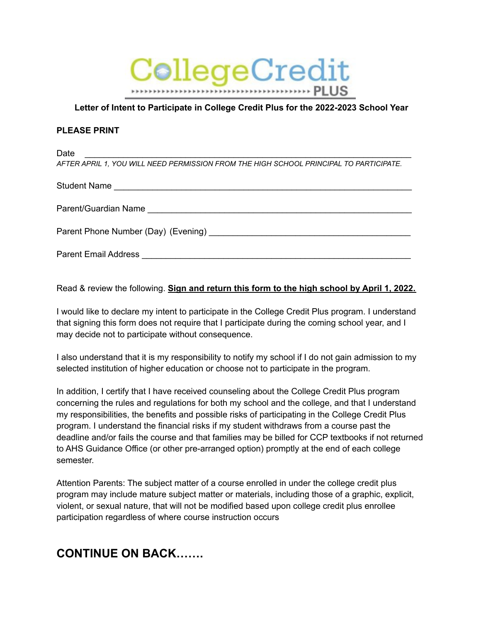

### **Letter of Intent to Participate in College Credit Plus for the 2022-2023 School Year**

#### **PLEASE PRINT**

Date \_\_\_\_\_\_\_\_\_\_\_\_\_\_\_\_\_\_\_\_\_\_\_\_\_\_\_\_\_\_\_\_\_\_\_\_\_\_\_\_\_\_\_\_\_\_\_\_\_\_\_\_\_\_\_\_\_\_\_\_\_\_\_\_\_\_\_\_

*AFTER APRIL 1, YOU WILL NEED PERMISSION FROM THE HIGH SCHOOL PRINCIPAL TO PARTICIPATE.*

| Student Name         |
|----------------------|
| Parent/Guardian Name |
|                      |
|                      |

Read & review the following. **Sign and return this form to the high school by April 1, 2022.**

I would like to declare my intent to participate in the College Credit Plus program. I understand that signing this form does not require that I participate during the coming school year, and I may decide not to participate without consequence.

I also understand that it is my responsibility to notify my school if I do not gain admission to my selected institution of higher education or choose not to participate in the program.

In addition, I certify that I have received counseling about the College Credit Plus program concerning the rules and regulations for both my school and the college, and that I understand my responsibilities, the benefits and possible risks of participating in the College Credit Plus program. I understand the financial risks if my student withdraws from a course past the deadline and/or fails the course and that families may be billed for CCP textbooks if not returned to AHS Guidance Office (or other pre-arranged option) promptly at the end of each college semester.

Attention Parents: The subject matter of a course enrolled in under the college credit plus program may include mature subject matter or materials, including those of a graphic, explicit, violent, or sexual nature, that will not be modified based upon college credit plus enrollee participation regardless of where course instruction occurs

## **CONTINUE ON BACK…….**